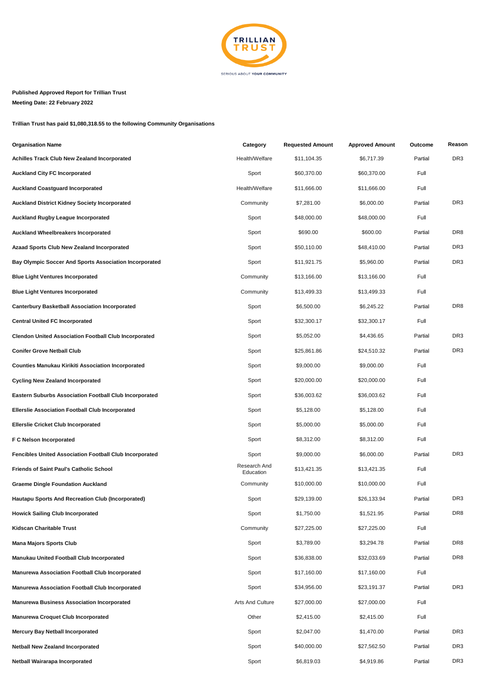

## **Published Approved Report for Trillian Trust**

**Meeting Date: 22 February 2022**

**Trillian Trust has paid \$1,080,318.55 to the following Community Organisations**

| <b>Organisation Name</b>                                       | Category                  | <b>Requested Amount</b> | <b>Approved Amount</b> | Outcome | Reason          |
|----------------------------------------------------------------|---------------------------|-------------------------|------------------------|---------|-----------------|
| <b>Achilles Track Club New Zealand Incorporated</b>            | Health/Welfare            | \$11,104.35             | \$6,717.39             | Partial | DR <sub>3</sub> |
| <b>Auckland City FC Incorporated</b>                           | Sport                     | \$60,370.00             | \$60,370.00            | Full    |                 |
| <b>Auckland Coastguard Incorporated</b>                        | Health/Welfare            | \$11,666.00             | \$11,666.00            | Full    |                 |
| <b>Auckland District Kidney Society Incorporated</b>           | Community                 | \$7,281.00              | \$6,000.00             | Partial | DR <sub>3</sub> |
| <b>Auckland Rugby League Incorporated</b>                      | Sport                     | \$48,000.00             | \$48,000.00            | Full    |                 |
| <b>Auckland Wheelbreakers Incorporated</b>                     | Sport                     | \$690.00                | \$600.00               | Partial | DR <sub>8</sub> |
| Azaad Sports Club New Zealand Incorporated                     | Sport                     | \$50,110.00             | \$48,410.00            | Partial | DR <sub>3</sub> |
| Bay Olympic Soccer And Sports Association Incorporated         | Sport                     | \$11,921.75             | \$5,960.00             | Partial | DR <sub>3</sub> |
| <b>Blue Light Ventures Incorporated</b>                        | Community                 | \$13,166.00             | \$13,166.00            | Full    |                 |
| <b>Blue Light Ventures Incorporated</b>                        | Community                 | \$13,499.33             | \$13,499.33            | Full    |                 |
| <b>Canterbury Basketball Association Incorporated</b>          | Sport                     | \$6,500.00              | \$6,245.22             | Partial | DR8             |
| <b>Central United FC Incorporated</b>                          | Sport                     | \$32,300.17             | \$32,300.17            | Full    |                 |
| <b>Clendon United Association Football Club Incorporated</b>   | Sport                     | \$5,052.00              | \$4,436.65             | Partial | DR <sub>3</sub> |
| <b>Conifer Grove Netball Club</b>                              | Sport                     | \$25,861.86             | \$24,510.32            | Partial | DR <sub>3</sub> |
| <b>Counties Manukau Kirikiti Association Incorporated</b>      | Sport                     | \$9,000.00              | \$9,000.00             | Full    |                 |
| <b>Cycling New Zealand Incorporated</b>                        | Sport                     | \$20,000.00             | \$20,000.00            | Full    |                 |
| <b>Eastern Suburbs Association Football Club Incorporated</b>  | Sport                     | \$36,003.62             | \$36,003.62            | Full    |                 |
| <b>Ellerslie Association Football Club Incorporated</b>        | Sport                     | \$5,128.00              | \$5,128.00             | Full    |                 |
| <b>Ellerslie Cricket Club Incorporated</b>                     | Sport                     | \$5,000.00              | \$5,000.00             | Full    |                 |
| F C Nelson Incorporated                                        | Sport                     | \$8,312.00              | \$8,312.00             | Full    |                 |
| <b>Fencibles United Association Football Club Incorporated</b> | Sport                     | \$9,000.00              | \$6,000.00             | Partial | DR <sub>3</sub> |
| <b>Friends of Saint Paul's Catholic School</b>                 | Research And<br>Education | \$13,421.35             | \$13,421.35            | Full    |                 |
| <b>Graeme Dingle Foundation Auckland</b>                       | Community                 | \$10,000.00             | \$10,000.00            | Full    |                 |
| Hautapu Sports And Recreation Club (Incorporated)              | Sport                     | \$29,139.00             | \$26,133.94            | Partial | DR <sub>3</sub> |
| <b>Howick Sailing Club Incorporated</b>                        | Sport                     | \$1,750.00              | \$1,521.95             | Partial | DR8             |
| Kidscan Charitable Trust                                       | Community                 | \$27,225.00             | \$27,225.00            | Full    |                 |
| <b>Mana Majors Sports Club</b>                                 | Sport                     | \$3,789.00              | \$3,294.78             | Partial | DR8             |
| Manukau United Football Club Incorporated                      | Sport                     | \$36,838.00             | \$32,033.69            | Partial | DR8             |
| <b>Manurewa Association Football Club Incorporated</b>         | Sport                     | \$17,160.00             | \$17,160.00            | Full    |                 |
| <b>Manurewa Association Football Club Incorporated</b>         | Sport                     | \$34,956.00             | \$23,191.37            | Partial | DR3             |
| <b>Manurewa Business Association Incorporated</b>              | <b>Arts And Culture</b>   | \$27,000.00             | \$27,000.00            | Full    |                 |
| <b>Manurewa Croquet Club Incorporated</b>                      | Other                     | \$2,415.00              | \$2,415.00             | Full    |                 |
| <b>Mercury Bay Netball Incorporated</b>                        | Sport                     | \$2,047.00              | \$1,470.00             | Partial | DR <sub>3</sub> |
| <b>Netball New Zealand Incorporated</b>                        | Sport                     | \$40,000.00             | \$27,562.50            | Partial | DR3             |
| Netball Wairarapa Incorporated                                 | Sport                     | \$6,819.03              | \$4,919.86             | Partial | DR3             |